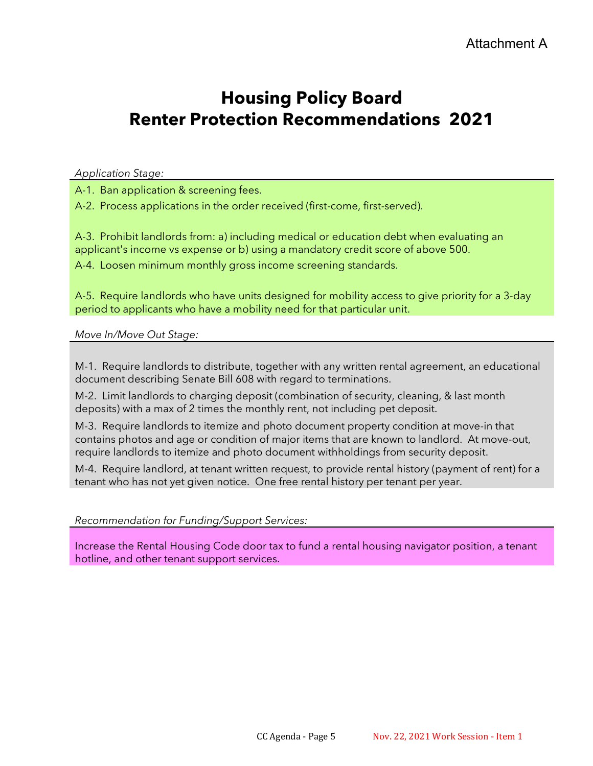# **Housing Policy Board Renter Protection Recommendations 2021**

*Application Stage:*

A-1. Ban application & screening fees.

A-2. Process applications in the order received (first-come, first-served).

A-3. Prohibit landlords from: a) including medical or education debt when evaluating an applicant's income vs expense or b) using a mandatory credit score of above 500.

A-4. Loosen minimum monthly gross income screening standards.

A-5. Require landlords who have units designed for mobility access to give priority for a 3-day period to applicants who have a mobility need for that particular unit.

*Move In/Move Out Stage:*

M-1. Require landlords to distribute, together with any written rental agreement, an educational document describing Senate Bill 608 with regard to terminations.

M-2. Limit landlords to charging deposit (combination of security, cleaning, & last month deposits) with a max of 2 times the monthly rent, not including pet deposit.

M-3. Require landlords to itemize and photo document property condition at move-in that contains photos and age or condition of major items that are known to landlord. At move-out, require landlords to itemize and photo document withholdings from security deposit.

M-4. Require landlord, at tenant written request, to provide rental history (payment of rent) for a tenant who has not yet given notice. One free rental history per tenant per year.

### *Recommendation for Funding/Support Services:*

Increase the Rental Housing Code door tax to fund a rental housing navigator position, a tenant hotline, and other tenant support services.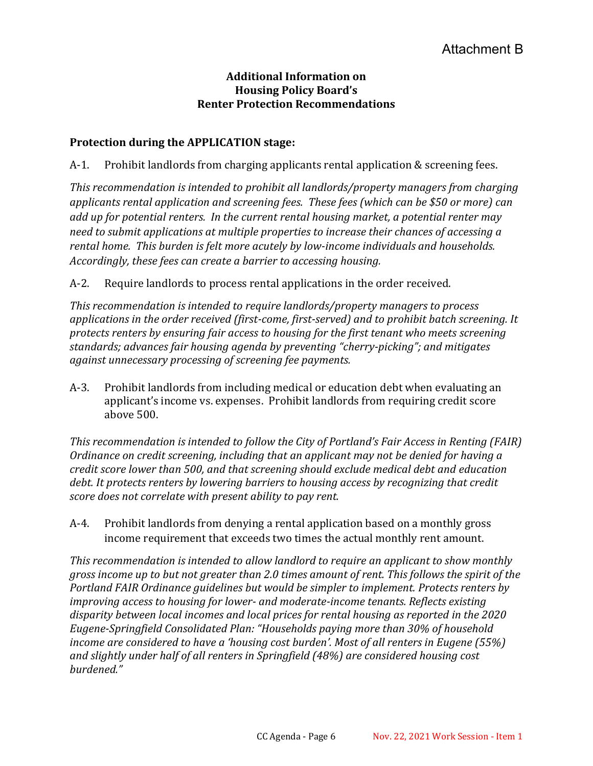### **Additional Information on Housing Policy Board's Renter Protection Recommendations**

### **Protection during the APPLICATION stage:**

A-1. Prohibit landlords from charging applicants rental application & screening fees.

*This recommendation is intended to prohibit all landlords/property managers from charging applicants rental application and screening fees. These fees (which can be \$50 or more) can add up for potential renters. In the current rental housing market, a potential renter may need to submit applications at multiple properties to increase their chances of accessing a rental home. This burden is felt more acutely by low-income individuals and households. Accordingly, these fees can create a barrier to accessing housing.* 

A-2. Require landlords to process rental applications in the order received.

*This recommendation is intended to require landlords/property managers to process applications in the order received (first-come, first-served) and to prohibit batch screening. It protects renters by ensuring fair access to housing for the first tenant who meets screening standards; advances fair housing agenda by preventing "cherry-picking"; and mitigates against unnecessary processing of screening fee payments.*

A-3. Prohibit landlords from including medical or education debt when evaluating an applicant's income vs. expenses. Prohibit landlords from requiring credit score above 500.

*This recommendation is intended to follow the City of Portland's Fair Access in Renting (FAIR) Ordinance on credit screening, including that an applicant may not be denied for having a credit score lower than 500, and that screening should exclude medical debt and education debt. It protects renters by lowering barriers to housing access by recognizing that credit score does not correlate with present ability to pay rent.*

A-4. Prohibit landlords from denying a rental application based on a monthly gross income requirement that exceeds two times the actual monthly rent amount.

*This recommendation is intended to allow landlord to require an applicant to show monthly gross income up to but not greater than 2.0 times amount of rent. This follows the spirit of the Portland FAIR Ordinance guidelines but would be simpler to implement. Protects renters by improving access to housing for lower- and moderate-income tenants. Reflects existing disparity between local incomes and local prices for rental housing as reported in the 2020 Eugene-Springfield Consolidated Plan: "Households paying more than 30% of household income are considered to have a 'housing cost burden'. Most of all renters in Eugene (55%) and slightly under half of all renters in Springfield (48%) are considered housing cost burdened."*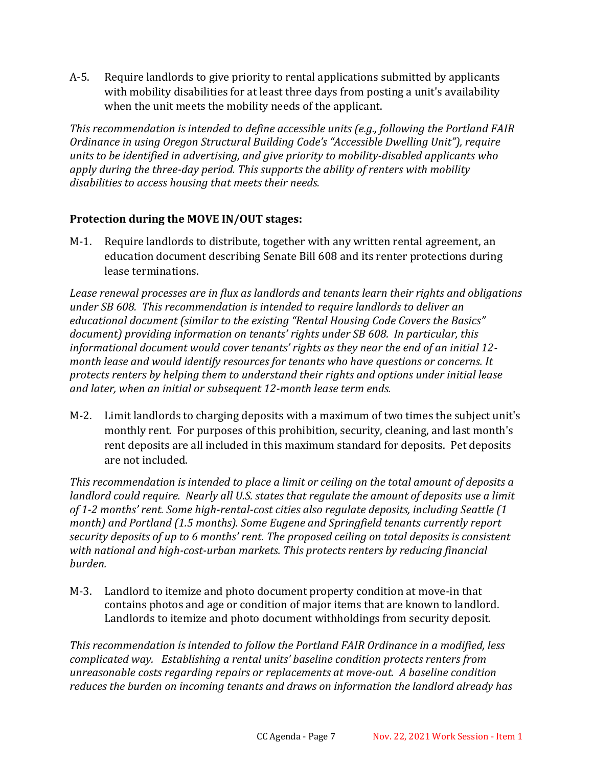A-5. Require landlords to give priority to rental applications submitted by applicants with mobility disabilities for at least three days from posting a unit's availability when the unit meets the mobility needs of the applicant.

*This recommendation is intended to define accessible units (e.g., following the Portland FAIR Ordinance in using Oregon Structural Building Code's "Accessible Dwelling Unit"), require units to be identified in advertising, and give priority to mobility-disabled applicants who apply during the three-day period. This supports the ability of renters with mobility disabilities to access housing that meets their needs.*

### **Protection during the MOVE IN/OUT stages:**

M-1. Require landlords to distribute, together with any written rental agreement, an education document describing Senate Bill 608 and its renter protections during lease terminations.

*Lease renewal processes are in flux as landlords and tenants learn their rights and obligations under SB 608. This recommendation is intended to require landlords to deliver an educational document (similar to the existing "Rental Housing Code Covers the Basics" document) providing information on tenants' rights under SB 608. In particular, this informational document would cover tenants' rights as they near the end of an initial 12 month lease and would identify resources for tenants who have questions or concerns. It protects renters by helping them to understand their rights and options under initial lease and later, when an initial or subsequent 12-month lease term ends.*

M-2. Limit landlords to charging deposits with a maximum of two times the subject unit's monthly rent. For purposes of this prohibition, security, cleaning, and last month's rent deposits are all included in this maximum standard for deposits. Pet deposits are not included.

*This recommendation is intended to place a limit or ceiling on the total amount of deposits a landlord could require. Nearly all U.S. states that regulate the amount of deposits use a limit of 1-2 months' rent. Some high-rental-cost cities also regulate deposits, including Seattle (1 month) and Portland (1.5 months). Some Eugene and Springfield tenants currently report security deposits of up to 6 months' rent. The proposed ceiling on total deposits is consistent with national and high-cost-urban markets. This protects renters by reducing financial burden.*

M-3. Landlord to itemize and photo document property condition at move-in that contains photos and age or condition of major items that are known to landlord. Landlords to itemize and photo document withholdings from security deposit.

*This recommendation is intended to follow the Portland FAIR Ordinance in a modified, less complicated way. Establishing a rental units' baseline condition protects renters from unreasonable costs regarding repairs or replacements at move-out. A baseline condition reduces the burden on incoming tenants and draws on information the landlord already has*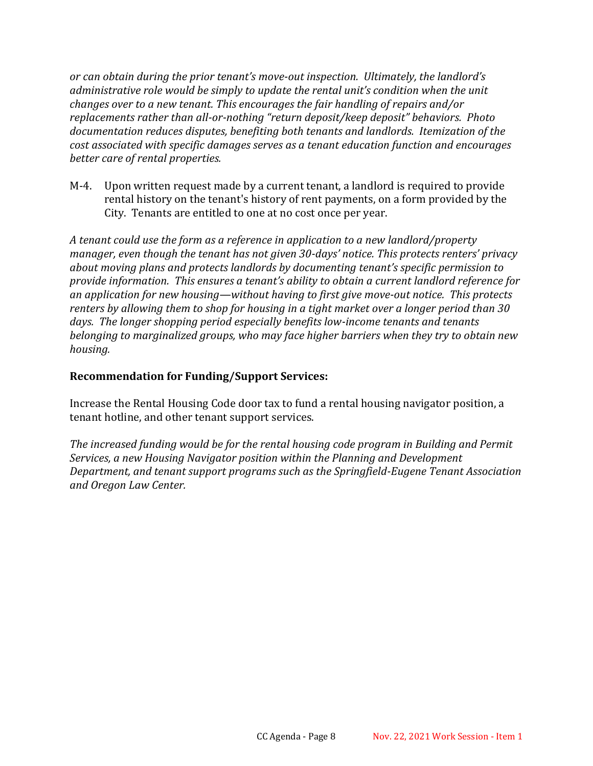*or can obtain during the prior tenant's move-out inspection. Ultimately, the landlord's administrative role would be simply to update the rental unit's condition when the unit changes over to a new tenant. This encourages the fair handling of repairs and/or replacements rather than all-or-nothing "return deposit/keep deposit" behaviors. Photo documentation reduces disputes, benefiting both tenants and landlords. Itemization of the cost associated with specific damages serves as a tenant education function and encourages better care of rental properties.*

M-4. Upon written request made by a current tenant, a landlord is required to provide rental history on the tenant's history of rent payments, on a form provided by the City. Tenants are entitled to one at no cost once per year.

*A tenant could use the form as a reference in application to a new landlord/property manager, even though the tenant has not given 30-days' notice. This protects renters' privacy about moving plans and protects landlords by documenting tenant's specific permission to provide information. This ensures a tenant's ability to obtain a current landlord reference for an application for new housing—without having to first give move-out notice. This protects renters by allowing them to shop for housing in a tight market over a longer period than 30 days. The longer shopping period especially benefits low-income tenants and tenants belonging to marginalized groups, who may face higher barriers when they try to obtain new housing.*

### **Recommendation for Funding/Support Services:**

Increase the Rental Housing Code door tax to fund a rental housing navigator position, a tenant hotline, and other tenant support services.

*The increased funding would be for the rental housing code program in Building and Permit Services, a new Housing Navigator position within the Planning and Development Department, and tenant support programs such as the Springfield-Eugene Tenant Association and Oregon Law Center.*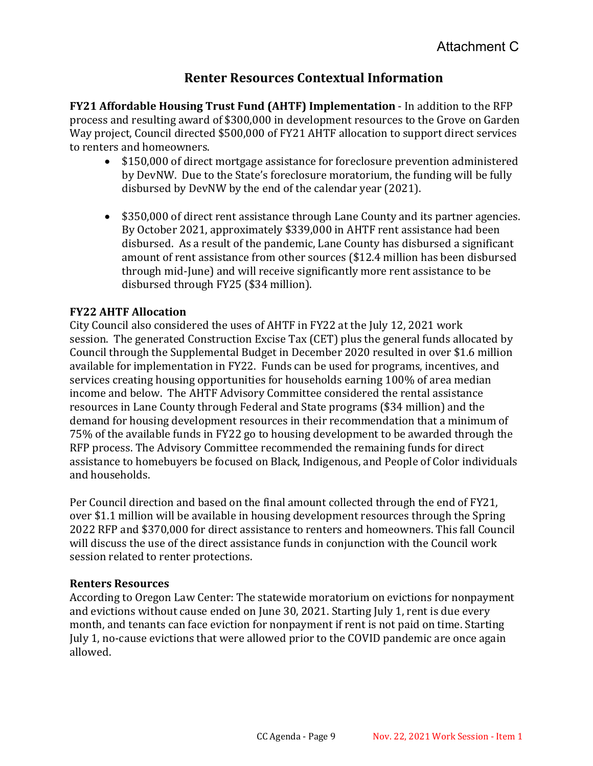# **Renter Resources Contextual Information**

**FY21 Affordable Housing Trust Fund (AHTF) Implementation** - In addition to the RFP process and resulting award of \$300,000 in development resources to the Grove on Garden Way project, Council directed \$500,000 of FY21 AHTF allocation to support direct services to renters and homeowners.

- \$150,000 of direct mortgage assistance for foreclosure prevention administered by DevNW.  Due to the State's foreclosure moratorium, the funding will be fully disbursed by DevNW by the end of the calendar year (2021).
- \$350,000 of direct rent assistance through Lane County and its partner agencies. By October 2021, approximately \$339,000 in AHTF rent assistance had been disbursed. As a result of the pandemic, Lane County has disbursed a significant amount of rent assistance from other sources (\$12.4 million has been disbursed through mid-June) and will receive significantly more rent assistance to be disbursed through FY25 (\$34 million).

### **FY22 AHTF Allocation**

City Council also considered the uses of AHTF in FY22 at the July 12, 2021 work session. The generated Construction Excise Tax (CET) plus the general funds allocated by Council through the Supplemental Budget in December 2020 resulted in over \$1.6 million available for implementation in FY22. Funds can be used for programs, incentives, and services creating housing opportunities for households earning 100% of area median income and below. The AHTF Advisory Committee considered the rental assistance resources in Lane County through Federal and State programs (\$34 million) and the demand for housing development resources in their recommendation that a minimum of 75% of the available funds in FY22 go to housing development to be awarded through the RFP process. The Advisory Committee recommended the remaining funds for direct assistance to homebuyers be focused on Black, Indigenous, and People of Color individuals and households.

Per Council direction and based on the final amount collected through the end of FY21, over \$1.1 million will be available in housing development resources through the Spring 2022 RFP and \$370,000 for direct assistance to renters and homeowners. This fall Council will discuss the use of the direct assistance funds in conjunction with the Council work session related to renter protections.

### **Renters Resources**

According to Oregon Law Center: The statewide moratorium on evictions for nonpayment and evictions without cause ended on June 30, 2021. Starting July 1, rent is due every month, and tenants can face eviction for nonpayment if rent is not paid on time. Starting July 1, no-cause evictions that were allowed prior to the COVID pandemic are once again allowed.